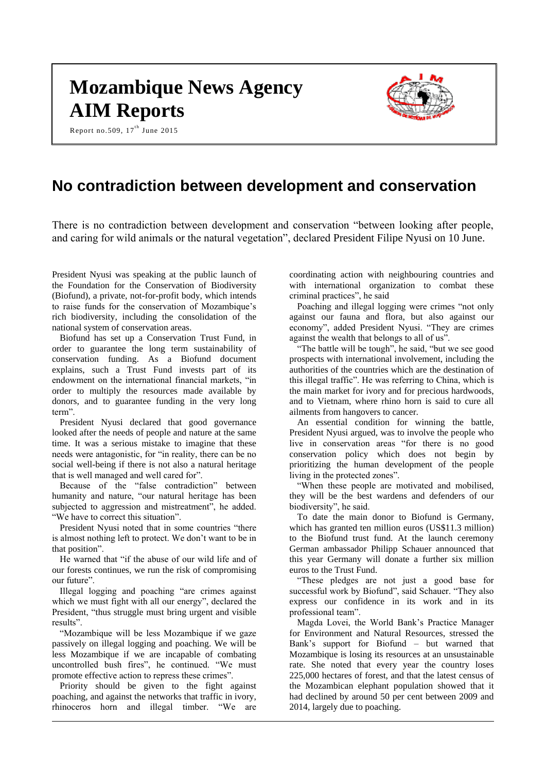# **Mozambique News Agency AIM Reports**

Report no.509,  $17<sup>th</sup>$  June 2015



# **No contradiction between development and conservation**

There is no contradiction between development and conservation "between looking after people, and caring for wild animals or the natural vegetation", declared President Filipe Nyusi on 10 June.

President Nyusi was speaking at the public launch of the Foundation for the Conservation of Biodiversity (Biofund), a private, not-for-profit body, which intends to raise funds for the conservation of Mozambique's rich biodiversity, including the consolidation of the national system of conservation areas.

Biofund has set up a Conservation Trust Fund, in order to guarantee the long term sustainability of conservation funding. As a Biofund document explains, such a Trust Fund invests part of its endowment on the international financial markets, "in order to multiply the resources made available by donors, and to guarantee funding in the very long term".

President Nyusi declared that good governance looked after the needs of people and nature at the same time. It was a serious mistake to imagine that these needs were antagonistic, for "in reality, there can be no social well-being if there is not also a natural heritage that is well managed and well cared for".

Because of the "false contradiction" between humanity and nature, "our natural heritage has been subjected to aggression and mistreatment", he added. "We have to correct this situation".

President Nyusi noted that in some countries "there is almost nothing left to protect. We don't want to be in that position".

He warned that "if the abuse of our wild life and of our forests continues, we run the risk of compromising our future".

Illegal logging and poaching "are crimes against which we must fight with all our energy", declared the President, "thus struggle must bring urgent and visible results".

"Mozambique will be less Mozambique if we gaze passively on illegal logging and poaching. We will be less Mozambique if we are incapable of combating uncontrolled bush fires", he continued. "We must promote effective action to repress these crimes".

Priority should be given to the fight against poaching, and against the networks that traffic in ivory, rhinoceros horn and illegal timber. "We are coordinating action with neighbouring countries and with international organization to combat these criminal practices", he said

Poaching and illegal logging were crimes "not only against our fauna and flora, but also against our economy", added President Nyusi. "They are crimes against the wealth that belongs to all of us".

"The battle will be tough", he said, "but we see good prospects with international involvement, including the authorities of the countries which are the destination of this illegal traffic". He was referring to China, which is the main market for ivory and for precious hardwoods, and to Vietnam, where rhino horn is said to cure all ailments from hangovers to cancer.

An essential condition for winning the battle, President Nyusi argued, was to involve the people who live in conservation areas "for there is no good conservation policy which does not begin by prioritizing the human development of the people living in the protected zones".

"When these people are motivated and mobilised, they will be the best wardens and defenders of our biodiversity", he said.

To date the main donor to Biofund is Germany, which has granted ten million euros (US\$11.3 million) to the Biofund trust fund. At the launch ceremony German ambassador Philipp Schauer announced that this year Germany will donate a further six million euros to the Trust Fund.

"These pledges are not just a good base for successful work by Biofund", said Schauer. "They also express our confidence in its work and in its professional team".

Magda Lovei, the World Bank's Practice Manager for Environment and Natural Resources, stressed the Bank's support for Biofund – but warned that Mozambique is losing its resources at an unsustainable rate. She noted that every year the country loses 225,000 hectares of forest, and that the latest census of the Mozambican elephant population showed that it had declined by around 50 per cent between 2009 and 2014, largely due to poaching.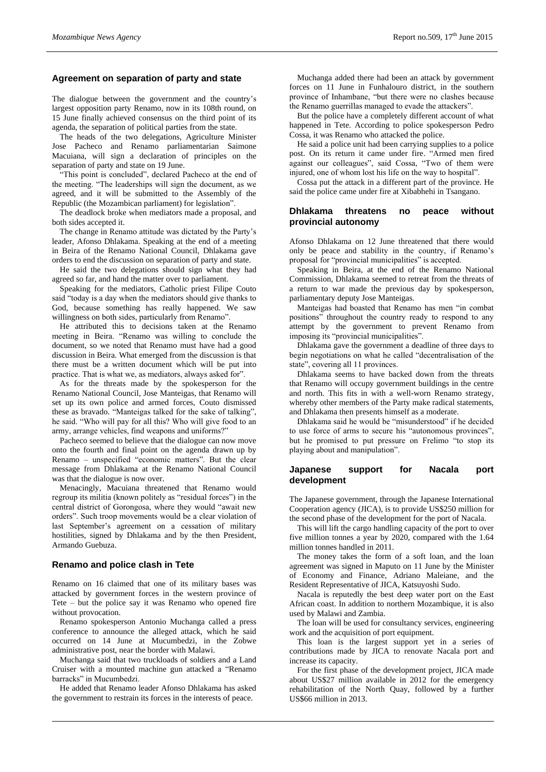## **Agreement on separation of party and state**

The dialogue between the government and the country's largest opposition party Renamo, now in its 108th round, on 15 June finally achieved consensus on the third point of its agenda, the separation of political parties from the state.

The heads of the two delegations, Agriculture Minister Jose Pacheco and Renamo parliamentarian Saimone Macuiana, will sign a declaration of principles on the separation of party and state on 19 June.

"This point is concluded", declared Pacheco at the end of the meeting. "The leaderships will sign the document, as we agreed, and it will be submitted to the Assembly of the Republic (the Mozambican parliament) for legislation".

The deadlock broke when mediators made a proposal, and both sides accepted it.

The change in Renamo attitude was dictated by the Party's leader, Afonso Dhlakama. Speaking at the end of a meeting in Beira of the Renamo National Council, Dhlakama gave orders to end the discussion on separation of party and state.

He said the two delegations should sign what they had agreed so far, and hand the matter over to parliament.

Speaking for the mediators, Catholic priest Filipe Couto said "today is a day when the mediators should give thanks to God, because something has really happened. We saw willingness on both sides, particularly from Renamo".

He attributed this to decisions taken at the Renamo meeting in Beira. "Renamo was willing to conclude the document, so we noted that Renamo must have had a good discussion in Beira. What emerged from the discussion is that there must be a written document which will be put into practice. That is what we, as mediators, always asked for".

As for the threats made by the spokesperson for the Renamo National Council, Jose Manteigas, that Renamo will set up its own police and armed forces, Couto dismissed these as bravado. "Manteigas talked for the sake of talking", he said. "Who will pay for all this? Who will give food to an army, arrange vehicles, find weapons and uniforms?"

Pacheco seemed to believe that the dialogue can now move onto the fourth and final point on the agenda drawn up by Renamo – unspecified "economic matters". But the clear message from Dhlakama at the Renamo National Council was that the dialogue is now over.

Menacingly, Macuiana threatened that Renamo would regroup its militia (known politely as "residual forces") in the central district of Gorongosa, where they would "await new orders". Such troop movements would be a clear violation of last September's agreement on a cessation of military hostilities, signed by Dhlakama and by the then President, Armando Guebuza.

#### **Renamo and police clash in Tete**

Renamo on 16 claimed that one of its military bases was attacked by government forces in the western province of Tete – but the police say it was Renamo who opened fire without provocation.

Renamo spokesperson Antonio Muchanga called a press conference to announce the alleged attack, which he said occurred on 14 June at Mucumbedzi, in the Zobwe administrative post, near the border with Malawi.

Muchanga said that two truckloads of soldiers and a Land Cruiser with a mounted machine gun attacked a "Renamo barracks" in Mucumbedzi.

He added that Renamo leader Afonso Dhlakama has asked the government to restrain its forces in the interests of peace.

Muchanga added there had been an attack by government forces on 11 June in Funhalouro district, in the southern province of Inhambane, "but there were no clashes because the Renamo guerrillas managed to evade the attackers".

But the police have a completely different account of what happened in Tete. According to police spokesperson Pedro Cossa, it was Renamo who attacked the police.

He said a police unit had been carrying supplies to a police post. On its return it came under fire. "Armed men fired against our colleagues", said Cossa, "Two of them were injured, one of whom lost his life on the way to hospital".

Cossa put the attack in a different part of the province. He said the police came under fire at Xibabhehi in Tsangano.

## **Dhlakama threatens no peace without provincial autonomy**

Afonso Dhlakama on 12 June threatened that there would only be peace and stability in the country, if Renamo's proposal for "provincial municipalities" is accepted.

Speaking in Beira, at the end of the Renamo National Commission, Dhlakama seemed to retreat from the threats of a return to war made the previous day by spokesperson, parliamentary deputy Jose Manteigas.

Manteigas had boasted that Renamo has men "in combat positions" throughout the country ready to respond to any attempt by the government to prevent Renamo from imposing its "provincial municipalities".

Dhlakama gave the government a deadline of three days to begin negotiations on what he called "decentralisation of the state", covering all 11 provinces.

Dhlakama seems to have backed down from the threats that Renamo will occupy government buildings in the centre and north. This fits in with a well-worn Renamo strategy, whereby other members of the Party make radical statements, and Dhlakama then presents himself as a moderate.

Dhlakama said he would be "misunderstood" if he decided to use force of arms to secure his "autonomous provinces", but he promised to put pressure on Frelimo "to stop its playing about and manipulation".

#### **Japanese support for Nacala port development**

The Japanese government, through the Japanese International Cooperation agency (JICA), is to provide US\$250 million for the second phase of the development for the port of Nacala.

This will lift the cargo handling capacity of the port to over five million tonnes a year by 2020, compared with the 1.64 million tonnes handled in 2011.

The money takes the form of a soft loan, and the loan agreement was signed in Maputo on 11 June by the Minister of Economy and Finance, Adriano Maleiane, and the Resident Representative of JICA, Katsuyoshi Sudo.

Nacala is reputedly the best deep water port on the East African coast. In addition to northern Mozambique, it is also used by Malawi and Zambia.

The loan will be used for consultancy services, engineering work and the acquisition of port equipment.

This loan is the largest support yet in a series of contributions made by JICA to renovate Nacala port and increase its capacity.

For the first phase of the development project, JICA made about US\$27 million available in 2012 for the emergency rehabilitation of the North Quay, followed by a further US\$66 million in 2013.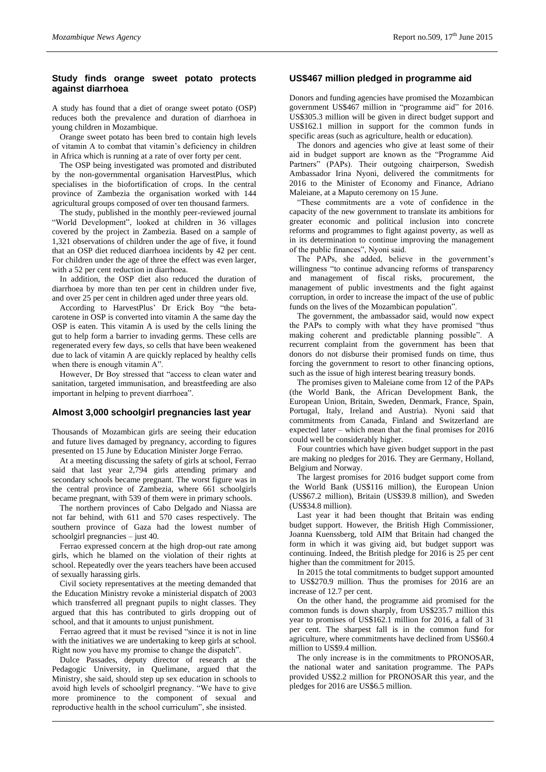# **Study finds orange sweet potato protects against diarrhoea**

A study has found that a diet of orange sweet potato (OSP) reduces both the prevalence and duration of diarrhoea in young children in Mozambique.

Orange sweet potato has been bred to contain high levels of vitamin A to combat that vitamin's deficiency in children in Africa which is running at a rate of over forty per cent.

The OSP being investigated was promoted and distributed by the non-governmental organisation HarvestPlus, which specialises in the biofortification of crops. In the central province of Zambezia the organisation worked with 144 agricultural groups composed of over ten thousand farmers.

The study, published in the monthly peer-reviewed journal "World Development", looked at children in 36 villages covered by the project in Zambezia. Based on a sample of 1,321 observations of children under the age of five, it found that an OSP diet reduced diarrhoea incidents by 42 per cent. For children under the age of three the effect was even larger, with a 52 per cent reduction in diarrhoea.

In addition, the OSP diet also reduced the duration of diarrhoea by more than ten per cent in children under five, and over 25 per cent in children aged under three years old.

According to HarvestPlus' Dr Erick Boy "the betacarotene in OSP is converted into vitamin A the same day the OSP is eaten. This vitamin A is used by the cells lining the gut to help form a barrier to invading germs. These cells are regenerated every few days, so cells that have been weakened due to lack of vitamin A are quickly replaced by healthy cells when there is enough vitamin A".

However, Dr Boy stressed that "access to clean water and sanitation, targeted immunisation, and breastfeeding are also important in helping to prevent diarrhoea".

## **Almost 3,000 schoolgirl pregnancies last year**

Thousands of Mozambican girls are seeing their education and future lives damaged by pregnancy, according to figures presented on 15 June by Education Minister Jorge Ferrao.

At a meeting discussing the safety of girls at school, Ferrao said that last year 2,794 girls attending primary and secondary schools became pregnant. The worst figure was in the central province of Zambezia, where 661 schoolgirls became pregnant, with 539 of them were in primary schools.

The northern provinces of Cabo Delgado and Niassa are not far behind, with 611 and 570 cases respectively. The southern province of Gaza had the lowest number of schoolgirl pregnancies – just 40.

Ferrao expressed concern at the high drop-out rate among girls, which he blamed on the violation of their rights at school. Repeatedly over the years teachers have been accused of sexually harassing girls.

Civil society representatives at the meeting demanded that the Education Ministry revoke a ministerial dispatch of 2003 which transferred all pregnant pupils to night classes. They argued that this has contributed to girls dropping out of school, and that it amounts to unjust punishment.

Ferrao agreed that it must be revised "since it is not in line with the initiatives we are undertaking to keep girls at school. Right now you have my promise to change the dispatch".

Dulce Passades, deputy director of research at the Pedagogic University, in Quelimane, argued that the Ministry, she said, should step up sex education in schools to avoid high levels of schoolgirl pregnancy. "We have to give more prominence to the component of sexual and reproductive health in the school curriculum", she insisted.

### **US\$467 million pledged in programme aid**

Donors and funding agencies have promised the Mozambican government US\$467 million in "programme aid" for 2016. US\$305.3 million will be given in direct budget support and US\$162.1 million in support for the common funds in specific areas (such as agriculture, health or education).

The donors and agencies who give at least some of their aid in budget support are known as the "Programme Aid Partners" (PAPs). Their outgoing chairperson, Swedish Ambassador Irina Nyoni, delivered the commitments for 2016 to the Minister of Economy and Finance, Adriano Maleiane, at a Maputo ceremony on 15 June.

"These commitments are a vote of confidence in the capacity of the new government to translate its ambitions for greater economic and political inclusion into concrete reforms and programmes to fight against poverty, as well as in its determination to continue improving the management of the public finances", Nyoni said.

The PAPs, she added, believe in the government's willingness "to continue advancing reforms of transparency and management of fiscal risks, procurement, the management of public investments and the fight against corruption, in order to increase the impact of the use of public funds on the lives of the Mozambican population".

The government, the ambassador said, would now expect the PAPs to comply with what they have promised "thus making coherent and predictable planning possible". A recurrent complaint from the government has been that donors do not disburse their promised funds on time, thus forcing the government to resort to other financing options, such as the issue of high interest bearing treasury bonds.

The promises given to Maleiane come from 12 of the PAPs (the World Bank, the African Development Bank, the European Union, Britain, Sweden, Denmark, France, Spain, Portugal, Italy, Ireland and Austria). Nyoni said that commitments from Canada, Finland and Switzerland are expected later – which mean that the final promises for 2016 could well be considerably higher.

Four countries which have given budget support in the past are making no pledges for 2016. They are Germany, Holland, Belgium and Norway.

The largest promises for 2016 budget support come from the World Bank (US\$116 million), the European Union (US\$67.2 million), Britain (US\$39.8 million), and Sweden (US\$34.8 million).

Last year it had been thought that Britain was ending budget support. However, the British High Commissioner, Joanna Kuenssberg, told AIM that Britain had changed the form in which it was giving aid, but budget support was continuing. Indeed, the British pledge for 2016 is 25 per cent higher than the commitment for 2015.

In 2015 the total commitments to budget support amounted to US\$270.9 million. Thus the promises for 2016 are an increase of 12.7 per cent.

On the other hand, the programme aid promised for the common funds is down sharply, from US\$235.7 million this year to promises of US\$162.1 million for 2016, a fall of 31 per cent. The sharpest fall is in the common fund for agriculture, where commitments have declined from US\$60.4 million to US\$9.4 million.

The only increase is in the commitments to PRONOSAR, the national water and sanitation programme. The PAPs provided US\$2.2 million for PRONOSAR this year, and the pledges for 2016 are US\$6.5 million.